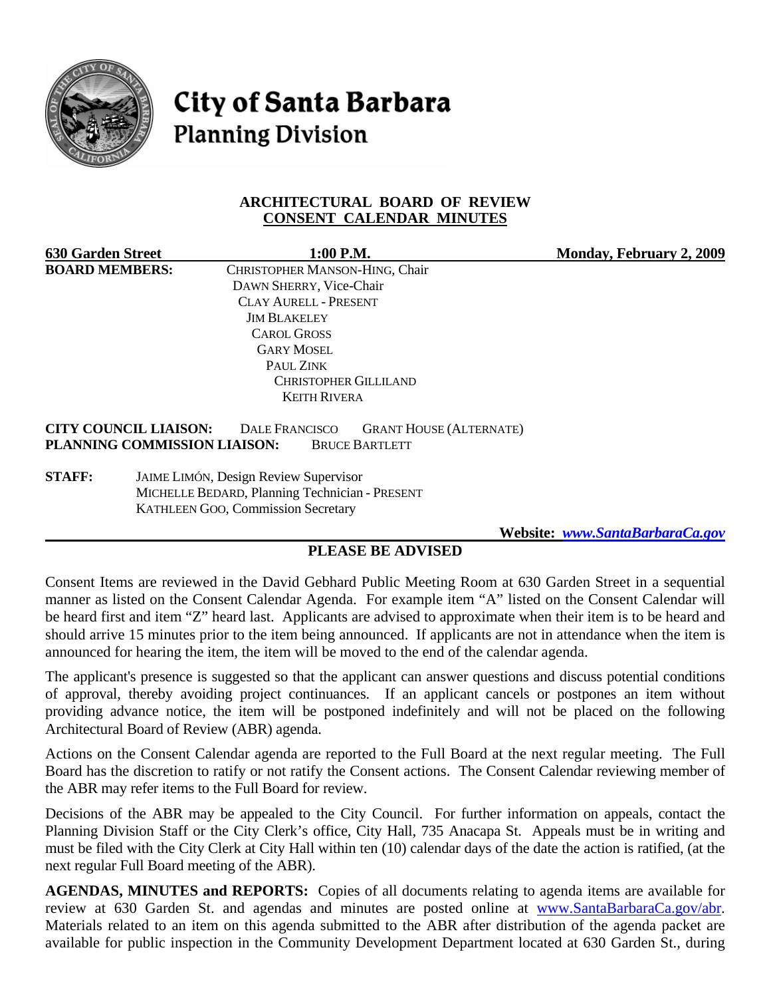

**City of Santa Barbara Planning Division** 

### **ARCHITECTURAL BOARD OF REVIEW CONSENT CALENDAR MINUTES**

| <b>630 Garden Street</b> | 1:00 P.M.                                        | Monday, February 2, 2009 |
|--------------------------|--------------------------------------------------|--------------------------|
| <b>BOARD MEMBERS:</b>    | CHRISTOPHER MANSON-HING, Chair                   |                          |
|                          | DAWN SHERRY, Vice-Chair                          |                          |
|                          | <b>CLAY AURELL - PRESENT</b>                     |                          |
|                          | <b>JIM BLAKELEY</b>                              |                          |
|                          | <b>CAROL GROSS</b>                               |                          |
|                          | <b>GARY MOSEL</b>                                |                          |
|                          | PAUL ZINK                                        |                          |
|                          | <b>CHRISTOPHER GILLILAND</b>                     |                          |
|                          | <b>KEITH RIVERA</b>                              |                          |
|                          | $\sim$ $\sim$ $\sim$ $\sim$ $\sim$ $\sim$ $\sim$ |                          |

#### **CITY COUNCIL LIAISON:** DALE FRANCISCO GRANT HOUSE (ALTERNATE) **PLANNING COMMISSION LIAISON:** BRUCE BARTLETT

**STAFF:** JAIME LIMÓN, Design Review Supervisor MICHELLE BEDARD, Planning Technician - PRESENT KATHLEEN GOO, Commission Secretary

 **Website:** *[www.SantaBarbaraCa.gov](http://www.santabarbaraca.gov/)*

# **PLEASE BE ADVISED**

Consent Items are reviewed in the David Gebhard Public Meeting Room at 630 Garden Street in a sequential manner as listed on the Consent Calendar Agenda. For example item "A" listed on the Consent Calendar will be heard first and item "Z" heard last. Applicants are advised to approximate when their item is to be heard and should arrive 15 minutes prior to the item being announced. If applicants are not in attendance when the item is announced for hearing the item, the item will be moved to the end of the calendar agenda.

The applicant's presence is suggested so that the applicant can answer questions and discuss potential conditions of approval, thereby avoiding project continuances. If an applicant cancels or postpones an item without providing advance notice, the item will be postponed indefinitely and will not be placed on the following Architectural Board of Review (ABR) agenda.

Actions on the Consent Calendar agenda are reported to the Full Board at the next regular meeting. The Full Board has the discretion to ratify or not ratify the Consent actions. The Consent Calendar reviewing member of the ABR may refer items to the Full Board for review.

Decisions of the ABR may be appealed to the City Council. For further information on appeals, contact the Planning Division Staff or the City Clerk's office, City Hall, 735 Anacapa St. Appeals must be in writing and must be filed with the City Clerk at City Hall within ten (10) calendar days of the date the action is ratified, (at the next regular Full Board meeting of the ABR).

**AGENDAS, MINUTES and REPORTS:** Copies of all documents relating to agenda items are available for review at 630 Garden St. and agendas and minutes are posted online at [www.SantaBarbaraCa.gov/abr.](http://www.santabarbaraca.gov/abr) Materials related to an item on this agenda submitted to the ABR after distribution of the agenda packet are available for public inspection in the Community Development Department located at 630 Garden St., during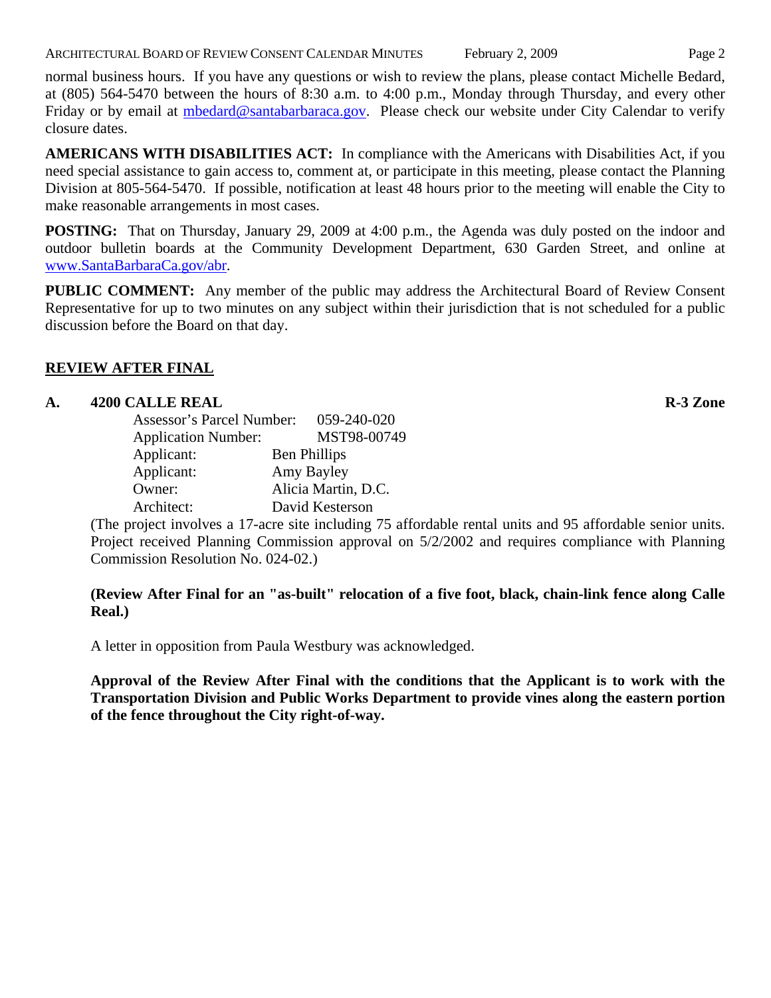ARCHITECTURAL BOARD OF REVIEW CONSENT CALENDAR MINUTES February 2, 2009 Page 2

normal business hours. If you have any questions or wish to review the plans, please contact Michelle Bedard, at (805) 564-5470 between the hours of 8:30 a.m. to 4:00 p.m., Monday through Thursday, and every other Friday or by email at [mbedard@santabarbaraca.gov.](mailto:mbedard@santabarbaraca.gov) Please check our website under City Calendar to verify closure dates.

**AMERICANS WITH DISABILITIES ACT:** In compliance with the Americans with Disabilities Act, if you need special assistance to gain access to, comment at, or participate in this meeting, please contact the Planning Division at 805-564-5470. If possible, notification at least 48 hours prior to the meeting will enable the City to make reasonable arrangements in most cases.

**POSTING:** That on Thursday, January 29, 2009 at 4:00 p.m., the Agenda was duly posted on the indoor and outdoor bulletin boards at the Community Development Department, 630 Garden Street, and online at [www.SantaBarbaraCa.gov/abr](http://www.santabarbaraca.gov/abr).

**PUBLIC COMMENT:** Any member of the public may address the Architectural Board of Review Consent Representative for up to two minutes on any subject within their jurisdiction that is not scheduled for a public discussion before the Board on that day.

# **REVIEW AFTER FINAL**

### **A. 4200 CALLE REAL R-3 Zone**

| Assessor's Parcel Number:  | 059-240-020         |
|----------------------------|---------------------|
| <b>Application Number:</b> | MST98-00749         |
| Applicant:                 | <b>Ben Phillips</b> |
| Applicant:                 | Amy Bayley          |
| Owner:                     | Alicia Martin, D.C. |
| Architect:                 | David Kesterson     |

(The project involves a 17-acre site including 75 affordable rental units and 95 affordable senior units. Project received Planning Commission approval on 5/2/2002 and requires compliance with Planning Commission Resolution No. 024-02.)

### **(Review After Final for an "as-built" relocation of a five foot, black, chain-link fence along Calle Real.)**

A letter in opposition from Paula Westbury was acknowledged.

**Approval of the Review After Final with the conditions that the Applicant is to work with the Transportation Division and Public Works Department to provide vines along the eastern portion of the fence throughout the City right-of-way.**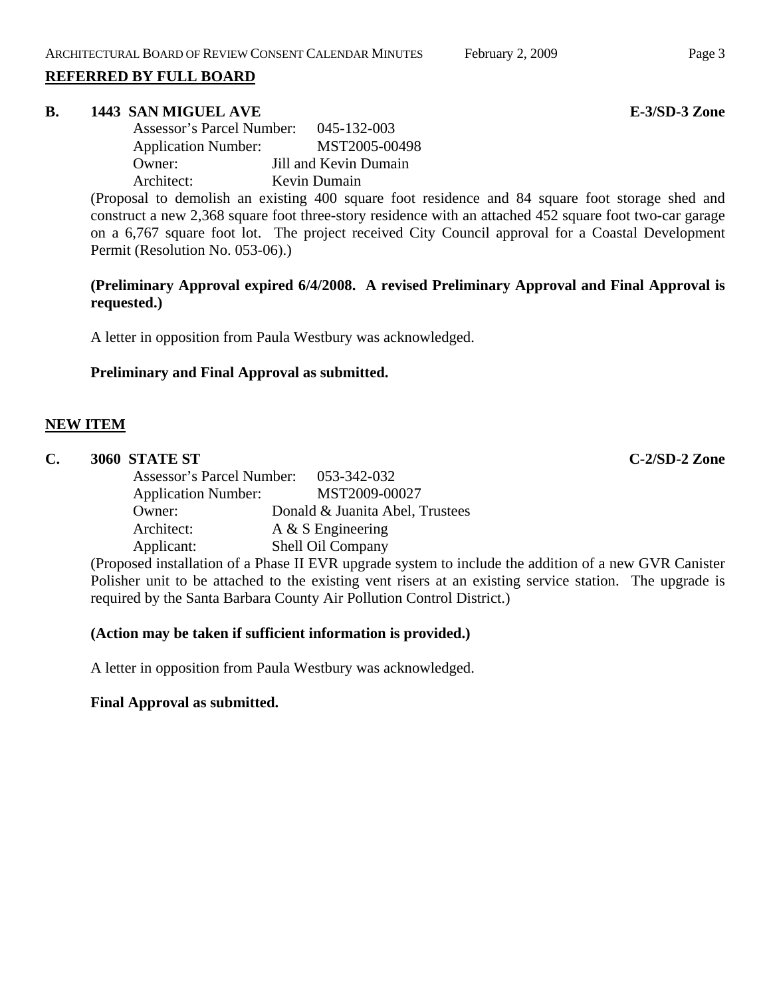#### **REFERRED BY FULL BOARD**

#### **B.** 1443 SAN MIGUEL AVE **E-3/SD-3** Zone

| Assessor's Parcel Number:  | 045-132-003           |
|----------------------------|-----------------------|
| <b>Application Number:</b> | MST2005-00498         |
| Owner:                     | Jill and Kevin Dumain |
| Architect:                 | Kevin Dumain          |

(Proposal to demolish an existing 400 square foot residence and 84 square foot storage shed and construct a new 2,368 square foot three-story residence with an attached 452 square foot two-car garage on a 6,767 square foot lot. The project received City Council approval for a Coastal Development Permit (Resolution No. 053-06).)

## **(Preliminary Approval expired 6/4/2008. A revised Preliminary Approval and Final Approval is requested.)**

A letter in opposition from Paula Westbury was acknowledged.

### **Preliminary and Final Approval as submitted.**

### **NEW ITEM**

| $\mathbf{C}$ . |            | 3060 STATE ST                                             |                                                         | $C-2/SD-2$ Zone |
|----------------|------------|-----------------------------------------------------------|---------------------------------------------------------|-----------------|
|                |            | Assessor's Parcel Number: 053-342-032                     |                                                         |                 |
|                |            | <b>Application Number:</b>                                | MST2009-00027                                           |                 |
|                |            | Owner:                                                    | Donald & Juanita Abel, Trustees                         |                 |
|                |            | Architect:                                                | A $&$ S Engineering                                     |                 |
|                |            | Applicant:                                                | Shell Oil Company                                       |                 |
|                | $\sqrt{ }$ | $\mathbf{1}$ , $\mathbf{1}$ , $\mathbf{1}$ , $\mathbf{1}$ | $\alpha$ by Times and $\alpha$ is a set of the $\alpha$ | $\alpha$        |

(Proposed installation of a Phase II EVR upgrade system to include the addition of a new GVR Canister Polisher unit to be attached to the existing vent risers at an existing service station. The upgrade is required by the Santa Barbara County Air Pollution Control District.)

### **(Action may be taken if sufficient information is provided.)**

A letter in opposition from Paula Westbury was acknowledged.

#### **Final Approval as submitted.**